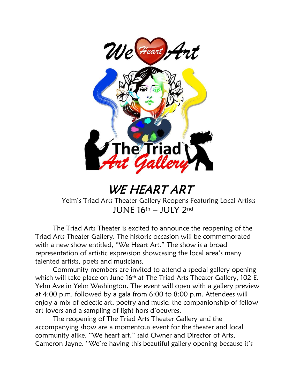

WE HEART ART

Yelm's Triad Arts Theater Gallery Reopens Featuring Local Artists JUNE 16th – JULY 2nd

The Triad Arts Theater is excited to announce the reopening of the Triad Arts Theater Gallery. The historic occasion will be commemorated with a new show entitled, "We Heart Art." The show is a broad representation of artistic expression showcasing the local area's many talented artists, poets and musicians.

Community members are invited to attend a special gallery opening which will take place on June 16<sup>th</sup> at The Triad Arts Theater Gallery, 102 E. Yelm Ave in Yelm Washington. The event will open with a gallery preview at 4:00 p.m. followed by a gala from 6:00 to 8:00 p.m. Attendees will enjoy a mix of eclectic art, poetry and music; the companionship of fellow art lovers and a sampling of light hors d'oeuvres.

The reopening of The Triad Arts Theater Gallery and the accompanying show are a momentous event for the theater and local community alike. "We heart art," said Owner and Director of Arts, Cameron Jayne. "We're having this beautiful gallery opening because it's